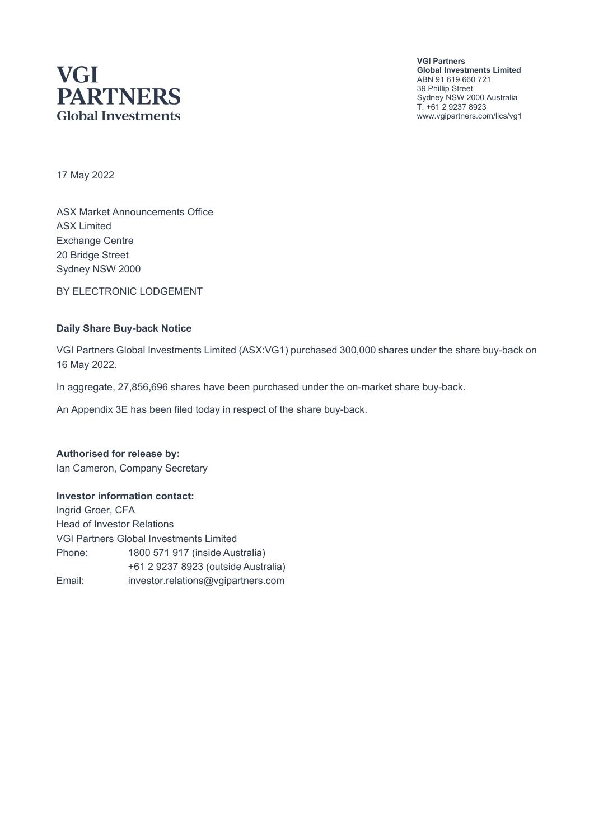# **VGI PARTNERS Global Investments**

**VGI Partners Global Investments Limited** ABN 91 619 660 721 39 Phillip Street Sydney NSW 2000 Australia T. +61 2 9237 8923 www.vgipartners.com/lics/vg1

17 May 2022

ASX Market Announcements Office ASX Limited Exchange Centre 20 Bridge Street Sydney NSW 2000

BY ELECTRONIC LODGEMENT

#### **Daily Share Buy-back Notice**

VGI Partners Global Investments Limited (ASX:VG1) purchased 300,000 shares under the share buy-back on 16 May 2022.

In aggregate, 27,856,696 shares have been purchased under the on-market share buy-back.

An Appendix 3E has been filed today in respect of the share buy-back.

**Authorised for release by:** Ian Cameron, Company Secretary

#### **Investor information contact:**

Ingrid Groer, CFA Head of Investor Relations VGI Partners Global Investments Limited Phone: 1800 571 917 (inside Australia) +61 2 9237 8923 (outside Australia) Email: investor.relations@vgipartners.com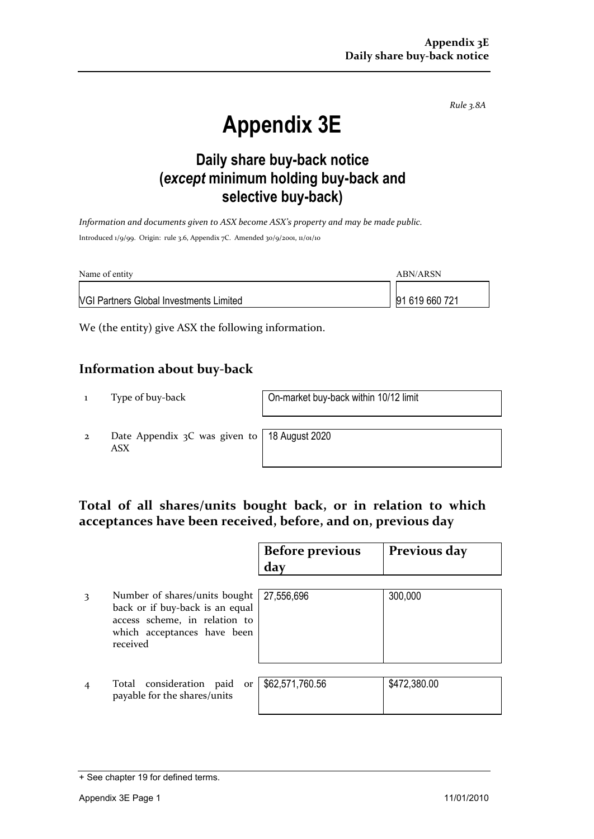*Rule 3.8A*

# **Appendix 3E**

## **Daily share buy-back notice (***except* **minimum holding buy-back and selective buy-back)**

*Information and documents given to ASX become ASX's property and may be made public.* Introduced 1/9/99. Origin: rule 3.6, Appendix 7C. Amended 30/9/2001, 11/01/10

| Name of entity                                 | ABN/ARSN       |  |
|------------------------------------------------|----------------|--|
| <b>VGI Partners Global Investments Limited</b> | 91 619 660 721 |  |

We (the entity) give ASX the following information.

#### **Information about buy-back**

1 Type of buy-back On-market buy-back within 10/12 limit

2 Date Appendix 3C was given to ASX

18 August 2020

### **Total of all shares/units bought back, or in relation to which acceptances have been received, before, and on, previous day**

|   |                                                                                                                                              | <b>Before previous</b><br>day | Previous day |
|---|----------------------------------------------------------------------------------------------------------------------------------------------|-------------------------------|--------------|
| 3 | Number of shares/units bought<br>back or if buy-back is an equal<br>access scheme, in relation to<br>which acceptances have been<br>received | 27,556,696                    | 300,000      |
|   | Total consideration paid<br>or<br>payable for the shares/units                                                                               | \$62,571,760.56               | \$472,380.00 |

<sup>+</sup> See chapter 19 for defined terms.